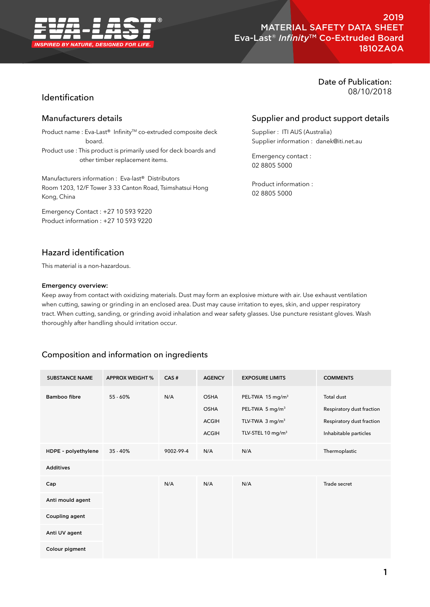

# 2019 MATERIAL SAFETY DATA SHEET Eva-Last® *Infinity*TM Co-Extruded Board 1810ZA0A

# Identification

## Manufacturers details

Product name : Eva-Last® Infinity™ co-extruded composite deck board.

Product use : This product is primarily used for deck boards and other timber replacement items.

Manufacturers information : Eva-last® Distributors Room 1203, 12/F Tower 3 33 Canton Road, Tsimshatsui Hong Kong, China

Emergency Contact : +27 10 593 9220 Product information : +27 10 593 9220

# Hazard identification

This material is a non-hazardous.

### Emergency overview:

Keep away from contact with oxidizing materials. Dust may form an explosive mixture with air. Use exhaust ventilation when cutting, sawing or grinding in an enclosed area. Dust may cause irritation to eyes, skin, and upper respiratory tract. When cutting, sanding, or grinding avoid inhalation and wear safety glasses. Use puncture resistant gloves. Wash thoroughly after handling should irritation occur.

## Composition and information on ingredients

| <b>SUBSTANCE NAME</b> | <b>APPROX WEIGHT %</b> | CAS#      | <b>AGENCY</b>                                              | <b>EXPOSURE LIMITS</b>                                                                                                     | <b>COMMENTS</b>                                                                               |
|-----------------------|------------------------|-----------|------------------------------------------------------------|----------------------------------------------------------------------------------------------------------------------------|-----------------------------------------------------------------------------------------------|
| Bamboo fibre          | $55 - 60%$             | N/A       | <b>OSHA</b><br><b>OSHA</b><br><b>ACGIH</b><br><b>ACGIH</b> | PEL-TWA 15 mg/m <sup>3</sup><br>PEL-TWA 5 mg/m <sup>3</sup><br>TLV-TWA $3 \text{ mg/m}^3$<br>TLV-STEL 10 mg/m <sup>3</sup> | Total dust<br>Respiratory dust fraction<br>Respiratory dust fraction<br>Inhabitable particles |
| HDPE - polyethylene   | $35 - 40%$             | 9002-99-4 | N/A                                                        | N/A                                                                                                                        | Thermoplastic                                                                                 |
| <b>Additives</b>      |                        |           |                                                            |                                                                                                                            |                                                                                               |
| Cap                   |                        | N/A       | N/A                                                        | N/A                                                                                                                        | Trade secret                                                                                  |
| Anti mould agent      |                        |           |                                                            |                                                                                                                            |                                                                                               |
| Coupling agent        |                        |           |                                                            |                                                                                                                            |                                                                                               |
| Anti UV agent         |                        |           |                                                            |                                                                                                                            |                                                                                               |
| Colour pigment        |                        |           |                                                            |                                                                                                                            |                                                                                               |

# Date of Publication: 08/10/2018

# Supplier and product support details

Supplier : ITI AUS (Australia) Supplier information : danek@iti.net.au

Emergency contact : 02 8805 5000

Product information : 02 8805 5000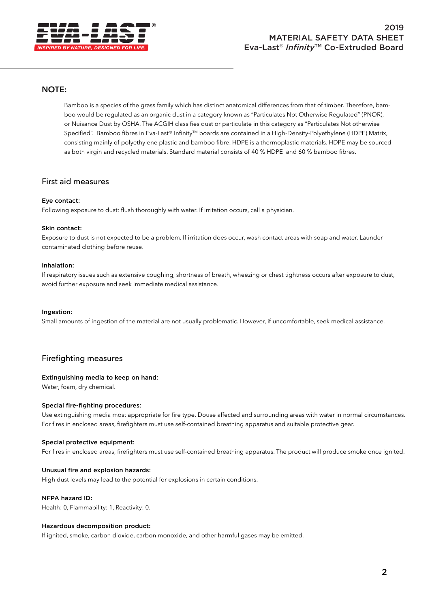

## **NOTE:**

Bamboo is a species of the grass family which has distinct anatomical differences from that of timber. Therefore, bamboo would be regulated as an organic dust in a category known as "Particulates Not Otherwise Regulated" (PNOR), or Nuisance Dust by OSHA. The ACGIH classifies dust or particulate in this category as "Particulates Not otherwise Specified". Bamboo fibres in Eva-Last® InfinityTM boards are contained in a High-Density-Polyethylene (HDPE) Matrix, consisting mainly of polyethylene plastic and bamboo fibre. HDPE is a thermoplastic materials. HDPE may be sourced as both virgin and recycled materials. Standard material consists of 40 % HDPE and 60 % bamboo fibres.

## First aid measures

### Eye contact:

Following exposure to dust: flush thoroughly with water. If irritation occurs, call a physician.

#### Skin contact:

Exposure to dust is not expected to be a problem. If irritation does occur, wash contact areas with soap and water. Launder contaminated clothing before reuse.

### Inhalation:

If respiratory issues such as extensive coughing, shortness of breath, wheezing or chest tightness occurs after exposure to dust, avoid further exposure and seek immediate medical assistance.

#### Ingestion:

Small amounts of ingestion of the material are not usually problematic. However, if uncomfortable, seek medical assistance.

## Firefighting measures

### Extinguishing media to keep on hand:

Water, foam, dry chemical.

### Special fire-fighting procedures:

Use extinguishing media most appropriate for fire type. Douse affected and surrounding areas with water in normal circumstances. For fires in enclosed areas, firefighters must use self-contained breathing apparatus and suitable protective gear.

#### Special protective equipment:

For fires in enclosed areas, firefighters must use self-contained breathing apparatus. The product will produce smoke once ignited.

### Unusual fire and explosion hazards:

High dust levels may lead to the potential for explosions in certain conditions.

#### NFPA hazard ID:

Health: 0, Flammability: 1, Reactivity: 0.

### Hazardous decomposition product:

If ignited, smoke, carbon dioxide, carbon monoxide, and other harmful gases may be emitted.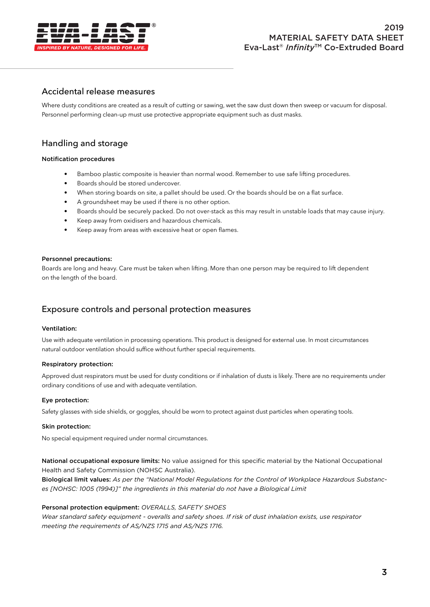

# Accidental release measures

Where dusty conditions are created as a result of cutting or sawing, wet the saw dust down then sweep or vacuum for disposal. Personnel performing clean-up must use protective appropriate equipment such as dust masks.

# Handling and storage

### Notification procedures

- Bamboo plastic composite is heavier than normal wood. Remember to use safe lifting procedures.
- Boards should be stored undercover.
- When storing boards on site, a pallet should be used. Or the boards should be on a flat surface.
- A groundsheet may be used if there is no other option.
- Boards should be securely packed. Do not over-stack as this may result in unstable loads that may cause injury.
- Keep away from oxidisers and hazardous chemicals.
- Keep away from areas with excessive heat or open flames.

#### Personnel precautions:

Boards are long and heavy. Care must be taken when lifting. More than one person may be required to lift dependent on the length of the board.

# Exposure controls and personal protection measures

#### Ventilation:

Use with adequate ventilation in processing operations. This product is designed for external use. In most circumstances natural outdoor ventilation should suffice without further special requirements.

### Respiratory protection:

Approved dust respirators must be used for dusty conditions or if inhalation of dusts is likely. There are no requirements under ordinary conditions of use and with adequate ventilation.

### Eye protection:

Safety glasses with side shields, or goggles, should be worn to protect against dust particles when operating tools.

#### Skin protection:

No special equipment required under normal circumstances.

National occupational exposure limits: No value assigned for this specific material by the National Occupational Health and Safety Commission (NOHSC Australia).

Biological limit values: *As per the "National Model Regulations for the Control of Workplace Hazardous Substanc*es [NOHSC: 1005 (1994)]" the ingredients in this material do not have a Biological Limit

#### Personal protection equipment: *OVERALLS, SAFETY SHOES*

*Wear standard safety equipment - overalls and safety shoes. If risk of dust inhalation exists, use respirator meeting the requirements of AS/NZS 1715 and AS/NZS 1716.*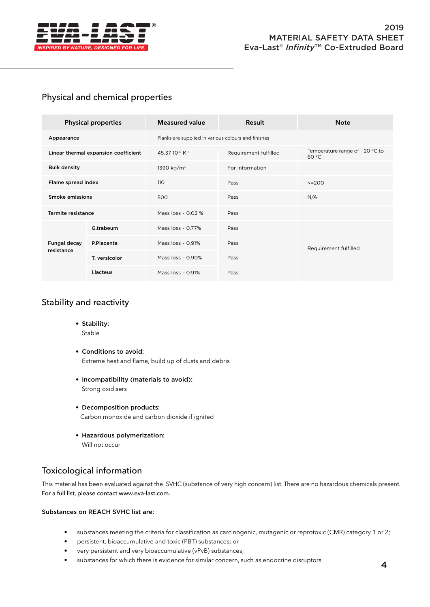

# Physical and chemical properties

| <b>Physical properties</b>           |                 | <b>Measured value</b>                               | Result                | <b>Note</b>                              |  |  |
|--------------------------------------|-----------------|-----------------------------------------------------|-----------------------|------------------------------------------|--|--|
| Appearance                           |                 | Planks are supplied in various colours and finishes |                       |                                          |  |  |
| Linear thermal expansion coefficient |                 | 45.37 10 <sup>-6</sup> K <sup>-1</sup>              | Requirement fulfilled | Temperature range of - 20 °C to<br>60 °C |  |  |
| <b>Bulk density</b>                  |                 | 1390 kg/m <sup>3</sup>                              | For information       |                                          |  |  |
| Flame spread index                   |                 | 110                                                 | Pass                  | $<=$ 200                                 |  |  |
| Smoke emissions                      |                 | 500                                                 | Pass                  | N/A                                      |  |  |
| Termite resistance                   |                 | Mass $loss \sim 0.02$ %                             | Pass                  |                                          |  |  |
| Fungal decay<br>resistance           | G.trabeum       | Mass $loss ~ 0.77\%$                                | Pass                  | Requirement fulfilled                    |  |  |
|                                      | P.Placenta      | Mass $loss \sim 0.91\%$                             | Pass                  |                                          |  |  |
|                                      | T. versicolor   | Mass loss ~ 0.90%                                   | Pass                  |                                          |  |  |
|                                      | <b>Llacteus</b> | Mass loss $\sim$ 0.91%                              | Pass                  |                                          |  |  |

# Stability and reactivity

- Stability: Stable
- Conditions to avoid: Extreme heat and flame, build up of dusts and debris
- Incompatibility (materials to avoid): Strong oxidisers
- Decomposition products: Carbon monoxide and carbon dioxide if ignited
- Hazardous polymerization: Will not occur

# Toxicological information

This material has been evaluated against the SVHC (substance of very high concern) list. There are no hazardous chemicals present. For a full list, please contact www.eva-last.com.

### Substances on REACH SVHC list are:

- substances meeting the criteria for classification as carcinogenic, mutagenic or reprotoxic (CMR) category 1 or 2;
- persistent, bioaccumulative and toxic (PBT) substances; or
- very persistent and very bioaccumulative (vPvB) substances;
- substances for which there is evidence for similar concern, such as endocrine disruptors